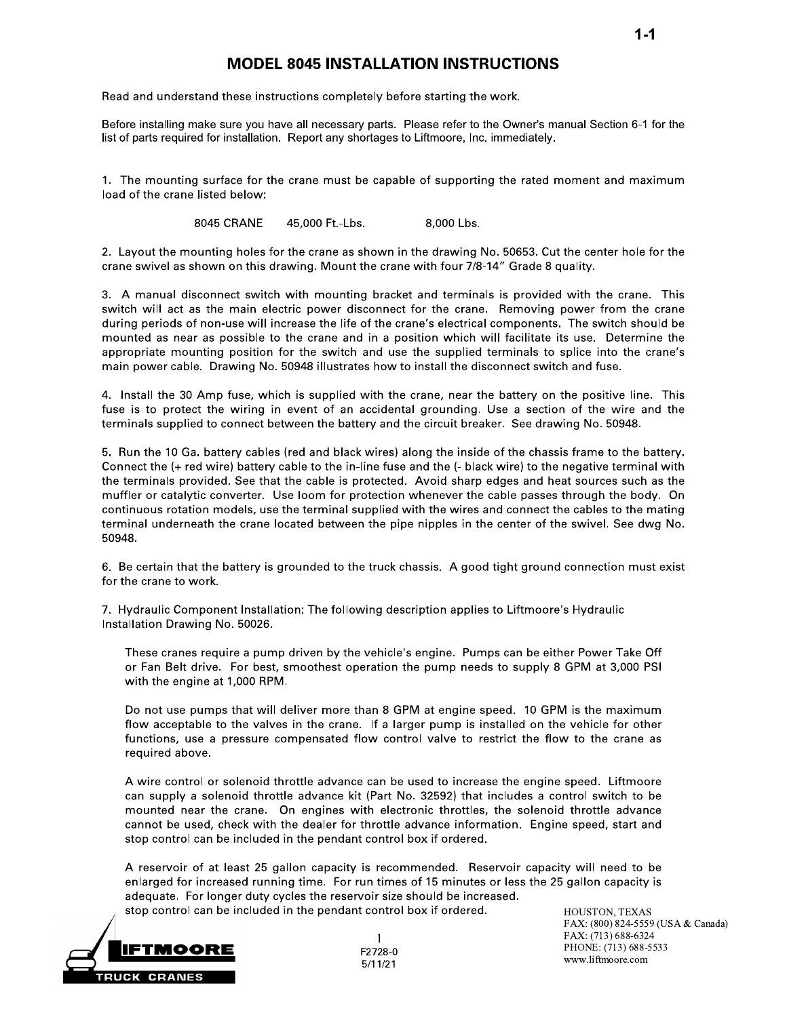## **MODEL 8045 INSTALLATION INSTRUCTIONS**

Read and understand these instructions completely before starting the work.

Before installing make sure you have all necessary parts. Please refer to the Owner's manual Section 6-1 for the list of parts required for installation. Report any shortages to Liftmoore, Inc. immediately.

1. The mounting surface for the crane must be capable of supporting the rated moment and maximum load of the crane listed below:

> 8045 CRANE 45,000 Ft. Lbs. 8,000 Lbs.

2. Layout the mounting holes for the crane as shown in the drawing No. 50653. Cut the center hole for the crane swivel as shown on this drawing. Mount the crane with four 7/8-14" Grade 8 quality.

3. A manual disconnect switch with mounting bracket and terminals is provided with the crane. This switch will act as the main electric power disconnect for the crane. Removing power from the crane during periods of non-use will increase the life of the crane's electrical components. The switch should be mounted as near as possible to the crane and in a position which will facilitate its use. Determine the appropriate mounting position for the switch and use the supplied terminals to splice into the crane's main power cable. Drawing No. 50948 illustrates how to install the disconnect switch and fuse.

4. Install the 30 Amp fuse, which is supplied with the crane, near the battery on the positive line. This fuse is to protect the wiring in event of an accidental grounding. Use a section of the wire and the terminals supplied to connect between the battery and the circuit breaker. See drawing No. 50948.

5. Run the 10 Ga. battery cables (red and black wires) along the inside of the chassis frame to the battery. Connect the (+ red wire) battery cable to the in-line fuse and the (- black wire) to the negative terminal with the terminals provided. See that the cable is protected. Avoid sharp edges and heat sources such as the muffler or catalytic converter. Use loom for protection whenever the cable passes through the body. On continuous rotation models, use the terminal supplied with the wires and connect the cables to the mating terminal underneath the crane located between the pipe nipples in the center of the swivel. See dwg No. 50948.

6. Be certain that the battery is grounded to the truck chassis. A good tight ground connection must exist for the crane to work.

7. Hydraulic Component Installation: The following description applies to Liftmoore's Hydraulic Installation Drawing No. 50026.

These cranes require a pump driven by the vehicle's engine. Pumps can be either Power Take Off or Fan Belt drive. For best, smoothest operation the pump needs to supply 8 GPM at 3,000 PSI with the engine at 1,000 RPM.

Do not use pumps that will deliver more than 8 GPM at engine speed. 10 GPM is the maximum flow acceptable to the valves in the crane. If a larger pump is installed on the vehicle for other functions, use a pressure compensated flow control valve to restrict the flow to the crane as required above.

A wire control or solenoid throttle advance can be used to increase the engine speed. Liftmoore can supply a solenoid throttle advance kit (Part No. 32592) that includes a control switch to be mounted near the crane. On engines with electronic throttles, the solenoid throttle advance cannot be used, check with the dealer for throttle advance information. Engine speed, start and stop control can be included in the pendant control box if ordered.

A reservoir of at least 25 gallon capacity is recommended. Reservoir capacity will need to be enlarged for increased running time. For run times of 15 minutes or less the 25 gallon capacity is adequate. For longer duty cycles the reservoir size should be increased. stop control can be included in the pendant control box if ordered.



F2728-0  $5/11/21$ 

HOUSTON, TEXAS FAX: (800) 824-5559 (USA & Canada) FAX: (713) 688-6324 PHONE: (713) 688-5533 www.liftmoore.com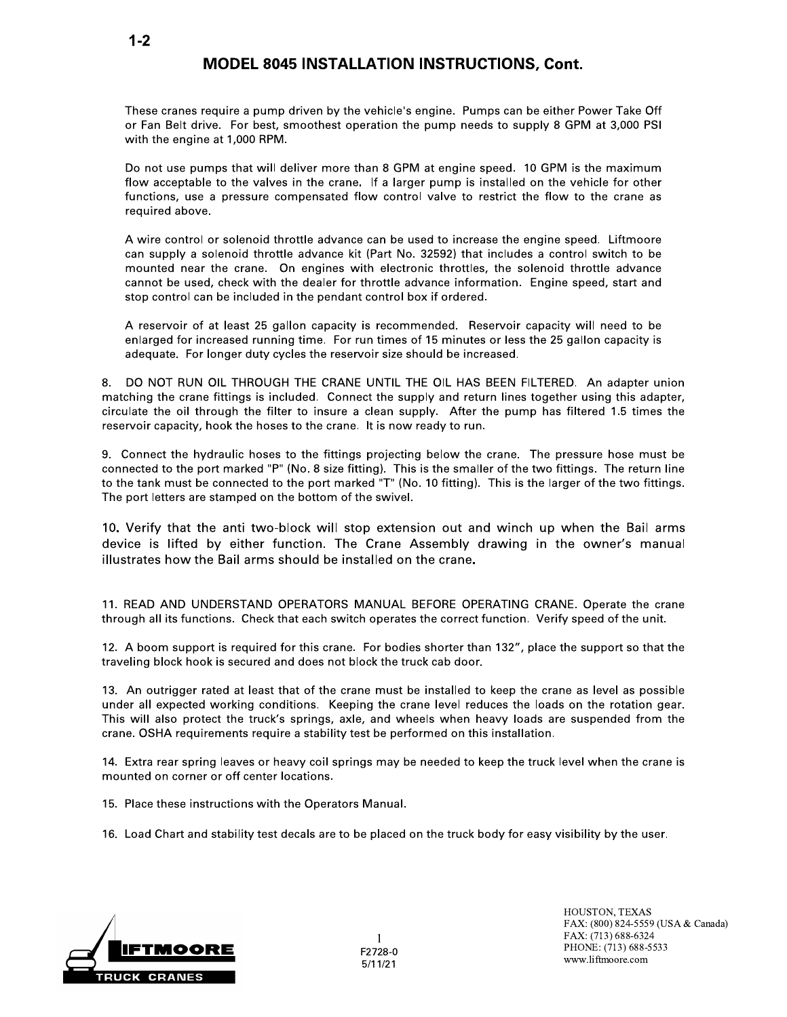## MODEL 8045 INSTALLATION INSTRUCTIONS, Cont.

These cranes require a pump driven by the vehicle's engine. Pumps can be either Power Take Off or Fan Belt drive. For best, smoothest operation the pump needs to supply 8 GPM at 3,000 PSI with the engine at  $1,000$  RPM.

Do not use pumps that will deliver more than 8 GPM at engine speed. 10 GPM is the maximum flow acceptable to the valves in the crane. If a larger pump is installed on the vehicle for other functions, use a pressure compensated flow control valve to restrict the flow to the crane as required above.

A wire control or solenoid throttle advance can be used to increase the engine speed. Liftmoore can supply a solenoid throttle advance kit (Part No. 32592) that includes a control switch to be mounted near the crane. On engines with electronic throttles, the solenoid throttle advance cannot be used, check with the dealer for throttle advance information. Engine speed, start and stop control can be included in the pendant control box if ordered.

A reservoir of at least 25 gallon capacity is recommended. Reservoir capacity will need to be enlarged for increased running time. For run times of 15 minutes or less the 25 gallon capacity is adequate. For longer duty cycles the reservoir size should be increased.

8. DO NOT RUN OIL THROUGH THE CRANE UNTIL THE OIL HAS BEEN FILTERED. An adapter union matching the crane fittings is included. Connect the supply and return lines together using this adapter,  $C$  circulate the oil through the filter to insure a clean supply. After the pump has filtered 1.5 times the reservoir capacity, hook the hoses to the crane. It is now ready to run.

9. Connect the hydraulic hoses to the fittings projecting below the crane. The pressure hose must be connected to the port marked "P" (No. 8 size fitting). This is the smaller of the two fittings. The return line to the tank must be connected to the port marked "T" (No. 10 fitting). This is the larger of the two fittings. The port letters are stamped on the bottom of the swivel.

10. Verify that the anti two-block will stop extension out and winch up when the Bail arms device is lifted by either function. The Crane Assembly drawing in the owner's manual illustrates how the Bail arms should be installed on the crane.

11. READ AND UNDERSTAND OPERATORS MANUAL BEFORE OPERATING CRANE. Operate the crane through all its functions. Check that each switch operates the correct function. Verify speed of the unit.

12. A boom support is required for this crane. For bodies shorter than 132", place the support so that the traveling block hook is secured and does not block the truck cab door.

13. An outrigger rated at least that of the crane must be installed to keep the crane as level as possible under all expected working conditions. Keeping the crane level reduces the loads on the rotation gear. This will also protect the truck's springs, axle, and wheels when heavy loads are suspended from the crane. OSHA requirements require a stability test be performed on this installation.

14. Extra rear spring leaves or heavy coil springs may be needed to keep the truck level when the crane is mounted on corner or off center locations.

15. Place these instructions with the Operators Manual.

16. Load Chart and stability test decals are to be placed on the truck body for easy visibility by the user.



F2728-0 5/11/21

HOUSTON, IEXAS FAX: (800) 824-5559 (USA & Canada) FAX:  $(713)$  688-6324 PHONE: (713) 688-5533 HOUSTON, TEXAS<br>
FAX: (800) 824-5559 (USA & Canada)<br>
FAX: (800) 824-5559 (USA & Canada)<br>
FAX: (713) 688-6324<br>
PHONE: (713) 688-5533<br>
www.liftmoore.com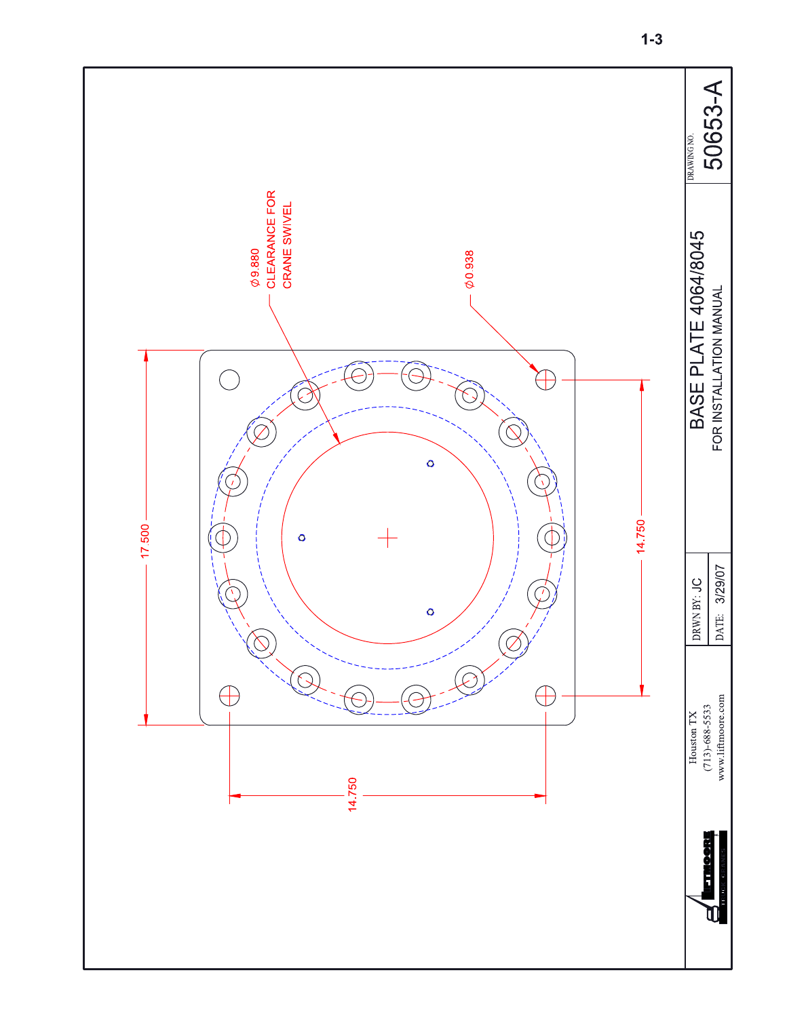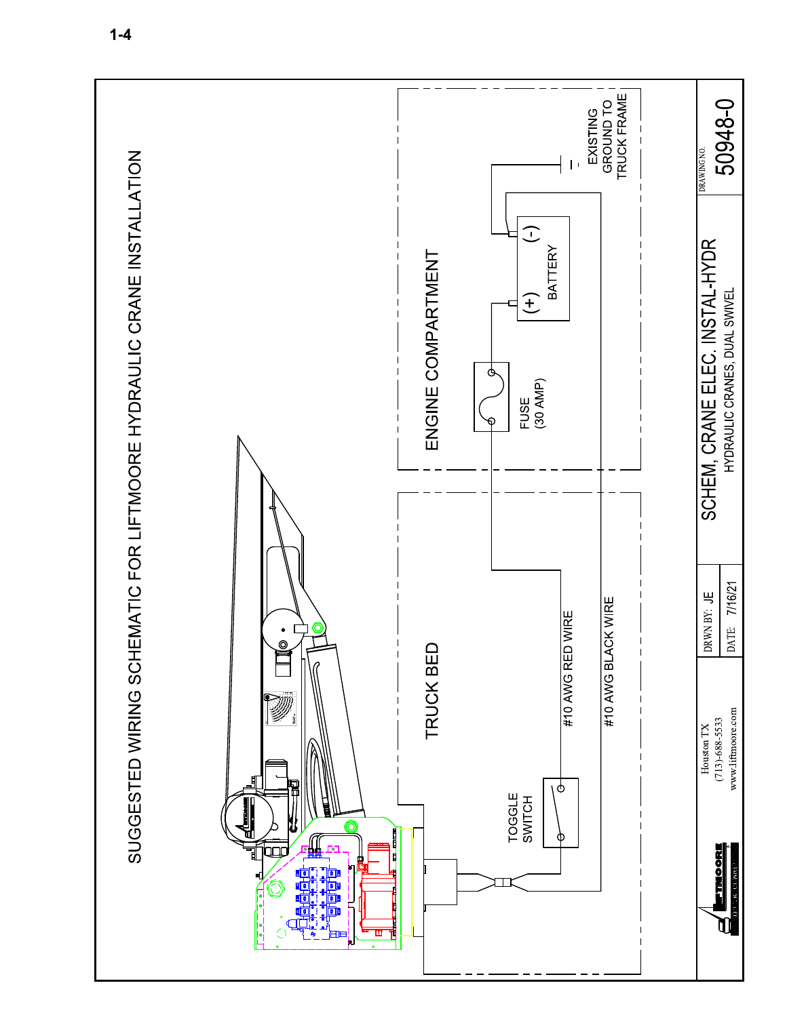